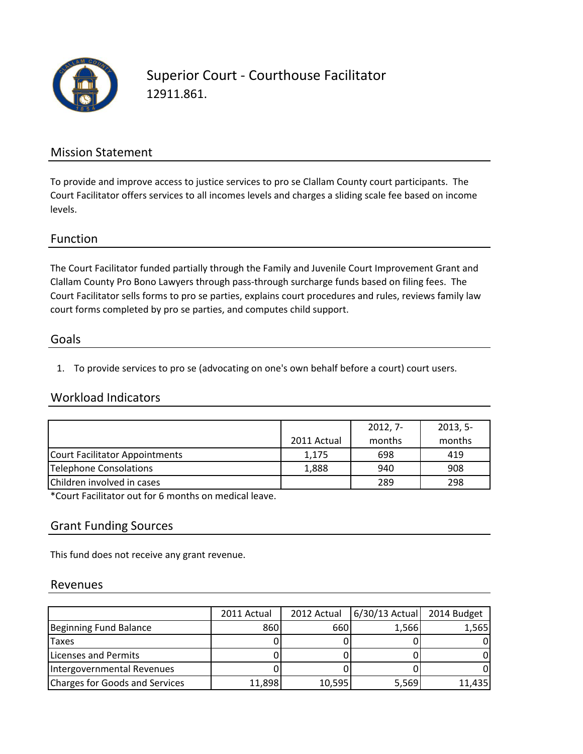

Superior Court - Courthouse Facilitator 12911.861.

### Mission Statement

To provide and improve access to justice services to pro se Clallam County court participants. The Court Facilitator offers services to all incomes levels and charges a sliding scale fee based on income levels.

### Function

The Court Facilitator funded partially through the Family and Juvenile Court Improvement Grant and Clallam County Pro Bono Lawyers through pass-through surcharge funds based on filing fees. The Court Facilitator sells forms to pro se parties, explains court procedures and rules, reviews family law court forms completed by pro se parties, and computes child support.

### Goals

1. To provide services to pro se (advocating on one's own behalf before a court) court users.

### Workload Indicators

|                                |             | $2012, 7-$ | $2013, 5-$ |
|--------------------------------|-------------|------------|------------|
|                                | 2011 Actual | months     | months     |
| Court Facilitator Appointments | 1,175       | 698        | 419        |
| Telephone Consolations         | 1,888       | 940        | 908        |
| Children involved in cases     |             | 289        | 298        |

\*Court Facilitator out for 6 months on medical leave.

### Grant Funding Sources

This fund does not receive any grant revenue.

#### Revenues

|                                | 2011 Actual | 2012 Actual | $6/30/13$ Actual | 2014 Budget |
|--------------------------------|-------------|-------------|------------------|-------------|
| Beginning Fund Balance         | 860         | 660         | 1,566            | 1,565       |
| <b>Taxes</b>                   |             |             |                  |             |
| Licenses and Permits           |             |             |                  |             |
| Intergovernmental Revenues     |             |             |                  |             |
| Charges for Goods and Services | 11,898      | 10,595      | 5,569            | 11,435      |